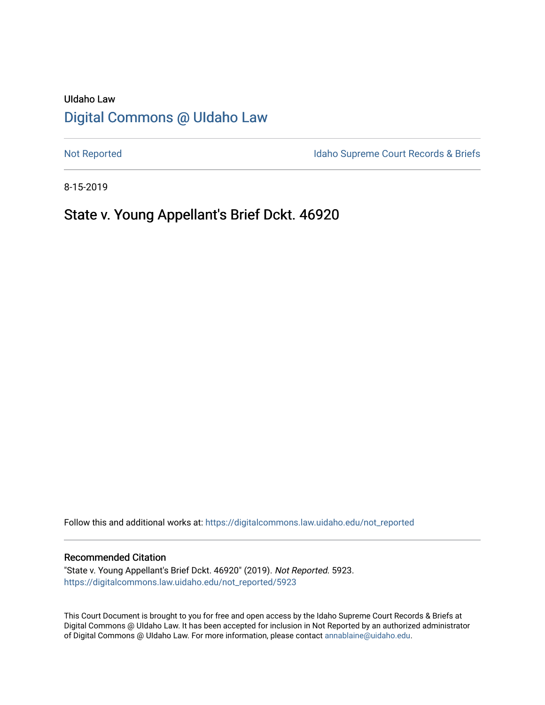# UIdaho Law [Digital Commons @ UIdaho Law](https://digitalcommons.law.uidaho.edu/)

[Not Reported](https://digitalcommons.law.uidaho.edu/not_reported) **Idaho Supreme Court Records & Briefs** 

8-15-2019

# State v. Young Appellant's Brief Dckt. 46920

Follow this and additional works at: [https://digitalcommons.law.uidaho.edu/not\\_reported](https://digitalcommons.law.uidaho.edu/not_reported?utm_source=digitalcommons.law.uidaho.edu%2Fnot_reported%2F5923&utm_medium=PDF&utm_campaign=PDFCoverPages) 

#### Recommended Citation

"State v. Young Appellant's Brief Dckt. 46920" (2019). Not Reported. 5923. [https://digitalcommons.law.uidaho.edu/not\\_reported/5923](https://digitalcommons.law.uidaho.edu/not_reported/5923?utm_source=digitalcommons.law.uidaho.edu%2Fnot_reported%2F5923&utm_medium=PDF&utm_campaign=PDFCoverPages)

This Court Document is brought to you for free and open access by the Idaho Supreme Court Records & Briefs at Digital Commons @ UIdaho Law. It has been accepted for inclusion in Not Reported by an authorized administrator of Digital Commons @ UIdaho Law. For more information, please contact [annablaine@uidaho.edu](mailto:annablaine@uidaho.edu).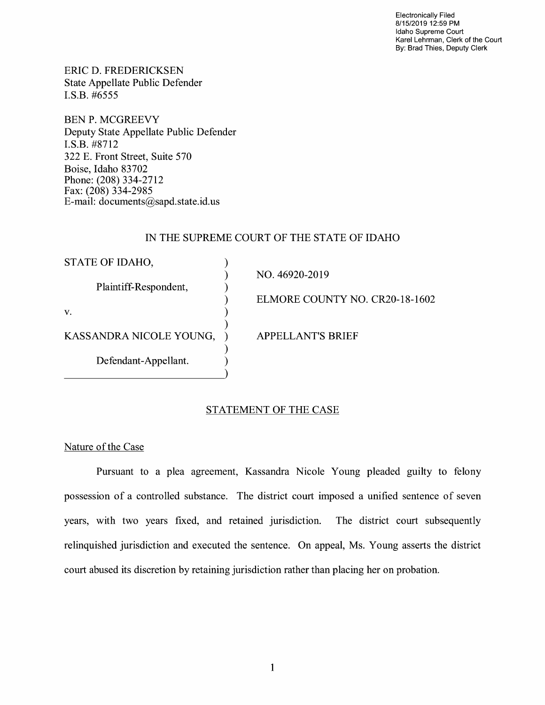Electronically Filed 8/15/2019 12:59 PM Idaho Supreme Court Karel Lehrman, Clerk of the Court By: Brad Thies, Deputy Clerk

ERIC D. FREDERICKSEN State Appellate Public Defender I.S.B. #6555

BEN P. MCGREEVY Deputy State Appellate Public Defender **I.S.B.** #8712 322 E. Front Street, Suite 570 Boise, Idaho 83702 Phone: (208) 334-2712 Fax: (208) 334-2985 E-mail: documents@sapd.state.id. us

### IN THE SUPREME COURT OF THE STATE OF IDAHO

| STATE OF IDAHO,         |                                |
|-------------------------|--------------------------------|
|                         | NO. 46920-2019                 |
| Plaintiff-Respondent,   |                                |
|                         | ELMORE COUNTY NO. CR20-18-1602 |
| V.                      |                                |
|                         |                                |
| KASSANDRA NICOLE YOUNG, | <b>APPELLANT'S BRIEF</b>       |
|                         |                                |
| Defendant-Appellant.    |                                |
|                         |                                |

## STATEMENT OF THE CASE

#### Nature of the Case

Pursuant to a plea agreement, Kassandra Nicole Young pleaded guilty to felony possession of a controlled substance. The district court imposed a unified sentence of seven years, with two years fixed, and retained jurisdiction. The district court subsequently relinquished jurisdiction and executed the sentence. On appeal, Ms. Young asserts the district court abused its discretion by retaining jurisdiction rather than placing her on probation.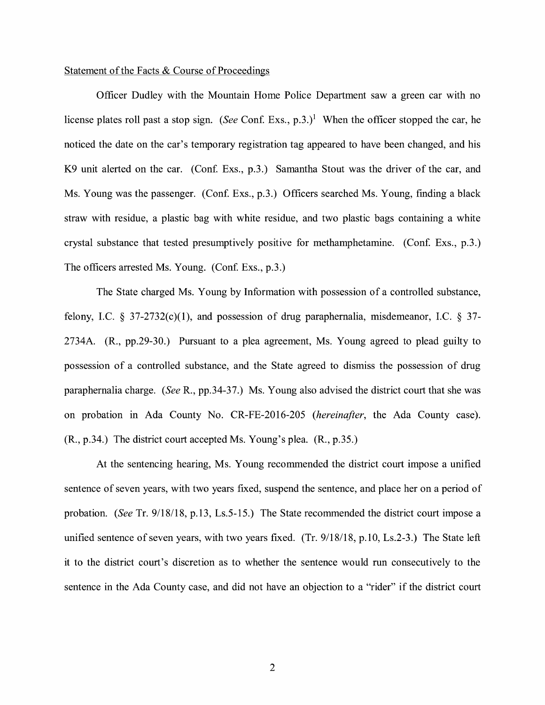#### Statement of the Facts & Course of Proceedings

Officer Dudley with the Mountain Home Police Department saw a green car with no license plates roll past a stop sign. *(See Conf. Exs., p.3.)*<sup>1</sup> When the officer stopped the car, he noticed the date on the car's temporary registration tag appeared to have been changed, and his K9 unit alerted on the car. (Conf. Exs., p.3.) Samantha Stout was the driver of the car, and Ms. Young was the passenger. (Conf. Exs., p.3.) Officers searched Ms. Young, finding a black straw with residue, a plastic bag with white residue, and two plastic bags containing a white crystal substance that tested presumptively positive for methamphetamine. (Con£ Exs., p.3.) The officers arrested Ms. Young. (Conf. Exs., p.3.)

The State charged Ms. Young by Information with possession of a controlled substance, felony, I.C. § 37-2732(c)(1), and possession of drug paraphernalia, misdemeanor, I.C. § 37-2734A. (R., pp.29-30.) Pursuant to a plea agreement, Ms. Young agreed to plead guilty to possession of a controlled substance, and the State agreed to dismiss the possession of drug paraphernalia charge. *(See* R., pp.34-37.) Ms. Young also advised the district court that she was on probation in Ada County No. CR-FE-2016-205 *(hereinafter,* the Ada County case). (R., p.34.) The district court accepted Ms. Young's plea. (R., p.35.)

At the sentencing hearing, Ms. Young recommended the district court impose a unified sentence of seven years, with two years fixed, suspend the sentence, and place her on a period of probation. *(See* Tr. 9/18/18, p.13, Ls.5-15.) The State recommended the district court impose a unified sentence of seven years, with two years fixed. (Tr. 9/18/18, p.10, Ls.2-3.) The State left it to the district court's discretion as to whether the sentence would run consecutively to the sentence in the Ada County case, and did not have an objection to a "rider" if the district court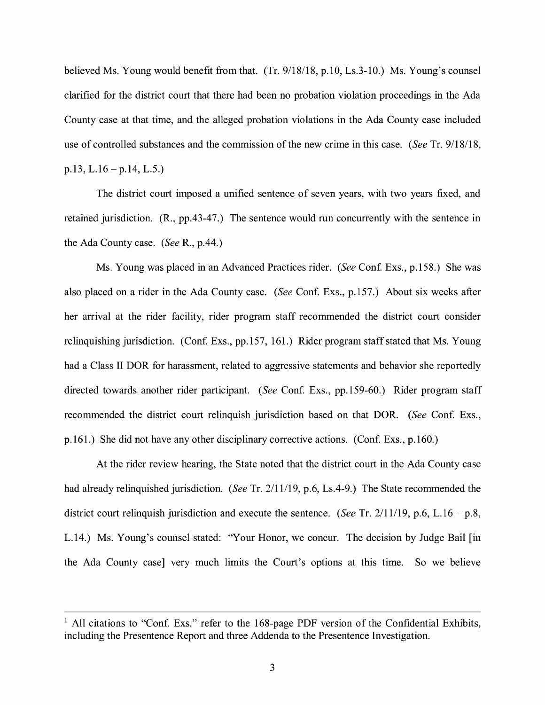believed Ms. Young would benefit from that. (Tr. 9/18/18, p.10, Ls.3-10.) Ms. Young's counsel clarified for the district court that there had been no probation violation proceedings in the Ada County case at that time, and the alleged probation violations in the Ada County case included use of controlled substances and the commission of the new crime in this case. *(See* Tr. 9/18/18,  $p.13, L.16 - p.14, L.5.$ 

The district court imposed a unified sentence of seven years, with two years fixed, and retained jurisdiction. (R., pp.43-47.) The sentence would run concurrently with the sentence in the Ada County case. *(See* R., p.44.)

Ms. Young was placed in an Advanced Practices rider. *(See* Con£ Exs., p.158.) She was also placed on a rider in the Ada County case. *(See Conf. Exs., p.157.)* About six weeks after her arrival at the rider facility, rider program staff recommended the district court consider relinquishing jurisdiction. (Conf. Exs., pp.157, 161.) Rider program staff stated that Ms. Young had a Class II DOR for harassment, related to aggressive statements and behavior she reportedly directed towards another rider participant. *(See Conf. Exs., pp.159-60.)* Rider program staff recommended the district court relinquish jurisdiction based on that DOR. *(See Conf. Exs.,* p.161.) She did not have any other disciplinary corrective actions. (Conf. Exs., p.160.)

At the rider review hearing, the State noted that the district court in the Ada County case had already relinquished jurisdiction. *(See* Tr. 2/11/19, p.6, Ls.4-9.) The State recommended the district court relinquish jurisdiction and execute the sentence. *(See* Tr. 2/11/19, p.6, L.16 - p.8, L.14.) Ms. Young's counsel stated: "Your Honor, we concur. The decision by Judge Bail [in the Ada County case] very much limits the Court's options at this time. So we believe

<sup>&</sup>lt;sup>1</sup> All citations to "Conf. Exs." refer to the 168-page PDF version of the Confidential Exhibits, including the Presentence Report and three Addenda to the Presentence Investigation.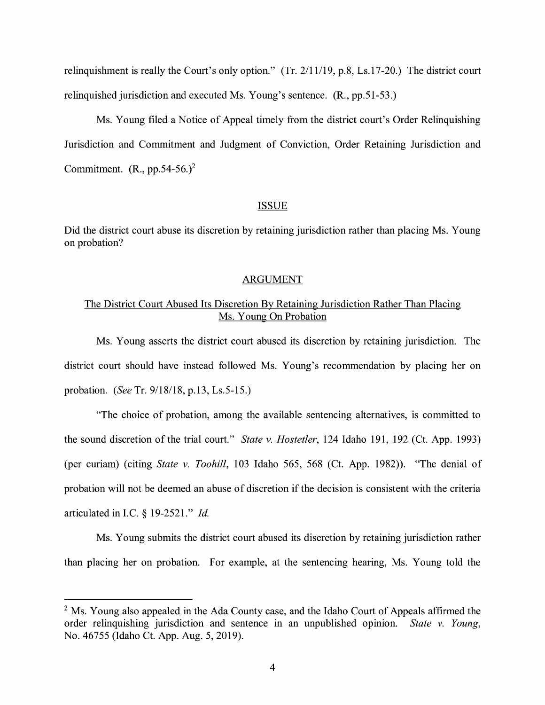relinquishment is really the Court's only option." (Tr. 2/11/19, p.8, Ls.17-20.) The district court relinquished jurisdiction and executed Ms. Young's sentence. (R., pp.51-53.)

Ms. Young filed a Notice of Appeal timely from the district court's Order Relinquishing Jurisdiction and Commitment and Judgment of Conviction, Order Retaining Jurisdiction and Commitment.  $(R., pp.54-56.)^2$ 

#### **ISSUE**

Did the district court abuse its discretion by retaining jurisdiction rather than placing Ms. Young on probation?

#### ARGUMENT

### The District Court Abused Its Discretion By Retaining Jurisdiction Rather Than Placing Ms. Young On Probation

Ms. Young asserts the district court abused its discretion by retaining jurisdiction. The district court should have instead followed Ms. Young's recommendation by placing her on probation. *(See* Tr. 9/18/18, p.13, Ls.5-15.)

"The choice of probation, among the available sentencing alternatives, is committed to the sound discretion of the trial court." *State v. Hostetler,* 124 Idaho 191, 192 (Ct. App. 1993) (per curiam) (citing *State v. Toohill,* 103 Idaho 565, 568 (Ct. App. 1982)). "The denial of probation will not be deemed an abuse of discretion if the decision is consistent with the criteria articulated in LC. § 19-2521." *Id.* 

Ms. Young submits the district court abused its discretion by retaining jurisdiction rather than placing her on probation. For example, at the sentencing hearing, Ms. Young told the

 $<sup>2</sup>$  Ms. Young also appealed in the Ada County case, and the Idaho Court of Appeals affirmed the</sup> order relinquishing jurisdiction and sentence in an unpublished opinion. *State v. Young,*  No. 46755 (Idaho Ct. App. Aug. 5, 2019).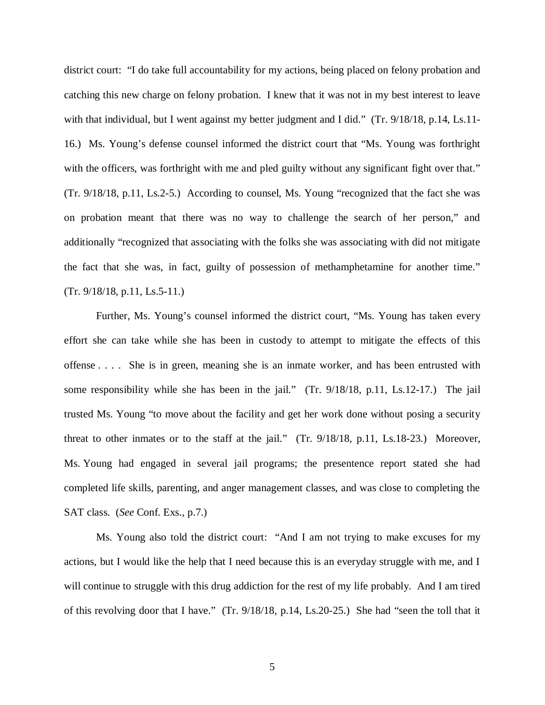district court: "I do take full accountability for my actions, being placed on felony probation and catching this new charge on felony probation. I knew that it was not in my best interest to leave with that individual, but I went against my better judgment and I did." (Tr. 9/18/18, p.14, Ls.11-16.) Ms. Young's defense counsel informed the district court that "Ms. Young was forthright with the officers, was forthright with me and pled guilty without any significant fight over that." (Tr. 9/18/18, p.11, Ls.2-5.) According to counsel, Ms. Young "recognized that the fact she was on probation meant that there was no way to challenge the search of her person," and additionally "recognized that associating with the folks she was associating with did not mitigate the fact that she was, in fact, guilty of possession of methamphetamine for another time." (Tr. 9/18/18, p.11, Ls.5-11.)

Further, Ms. Young's counsel informed the district court, "Ms. Young has taken every effort she can take while she has been in custody to attempt to mitigate the effects of this offense . . . . She is in green, meaning she is an inmate worker, and has been entrusted with some responsibility while she has been in the jail." (Tr. 9/18/18, p.11, Ls.12-17.) The jail trusted Ms. Young "to move about the facility and get her work done without posing a security threat to other inmates or to the staff at the jail." (Tr. 9/18/18, p.11, Ls.18-23.) Moreover, Ms. Young had engaged in several jail programs; the presentence report stated she had completed life skills, parenting, and anger management classes, and was close to completing the SAT class. (*See* Conf. Exs., p.7.)

Ms. Young also told the district court: "And I am not trying to make excuses for my actions, but I would like the help that I need because this is an everyday struggle with me, and I will continue to struggle with this drug addiction for the rest of my life probably. And I am tired of this revolving door that I have." (Tr. 9/18/18, p.14, Ls.20-25.) She had "seen the toll that it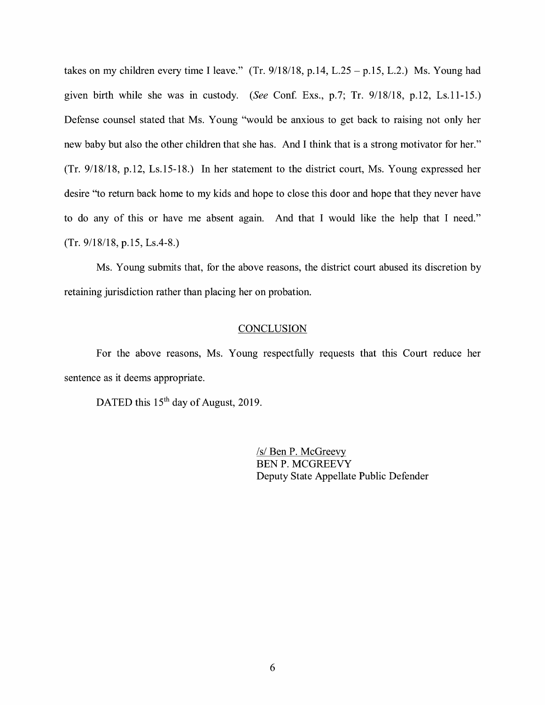takes on my children every time I leave." (Tr.  $9/18/18$ , p.14, L.25 - p.15, L.2.) Ms. Young had given birth while she was in custody. *(See* Conf. Exs., p.7; Tr. 9/18/18, p.12, Ls.11-15.) Defense counsel stated that Ms. Young "would be anxious to get back to raising not only her new baby but also the other children that she has. And I think that is a strong motivator for her." (Tr. 9/18/18, p.12, Ls.15-18.) In her statement to the district court, Ms. Young expressed her desire "to return back home to my kids and hope to close this door and hope that they never have to do any of this or have me absent again. And that I would like the help that I need." (Tr. 9/18/18, p.15, Ls.4-8.)

Ms. Young submits that, for the above reasons, the district court abused its discretion by retaining jurisdiction rather than placing her on probation.

#### **CONCLUSION**

For the above reasons, Ms. Young respectfully requests that this Court reduce her sentence as it deems appropriate.

DATED this 15<sup>th</sup> day of August, 2019.

/s/ Ben P. McGreevy BEN P. MCGREEVY Deputy State Appellate Public Defender